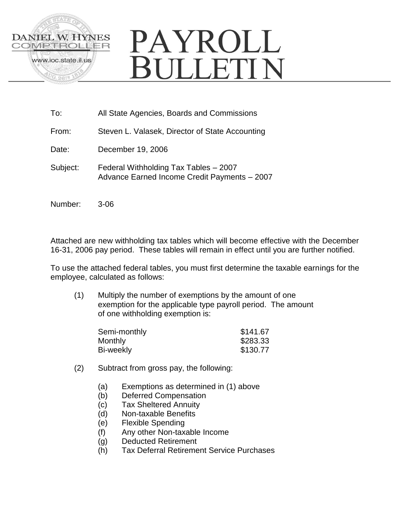

# PAYROLL **BULLETIN**

- To: All State Agencies, Boards and Commissions
- From: Steven L. Valasek, Director of State Accounting
- Date: December 19, 2006
- Subject: Federal Withholding Tax Tables 2007 Advance Earned Income Credit Payments – 2007
- Number: 3-06

Attached are new withholding tax tables which will become effective with the December 16-31, 2006 pay period. These tables will remain in effect until you are further notified.

To use the attached federal tables, you must first determine the taxable earnings for the employee, calculated as follows:

(1) Multiply the number of exemptions by the amount of one exemption for the applicable type payroll period. The amount of one withholding exemption is:

| Semi-monthly | \$141.67 |
|--------------|----------|
| Monthly      | \$283.33 |
| Bi-weekly    | \$130.77 |

- (2) Subtract from gross pay, the following:
	- (a) Exemptions as determined in (1) above
	- (b) Deferred Compensation
	- (c) Tax Sheltered Annuity
	- (d) Non-taxable Benefits
	- (e) Flexible Spending
	- (f) Any other Non-taxable Income
	- (g) Deducted Retirement
	- (h) Tax Deferral Retirement Service Purchases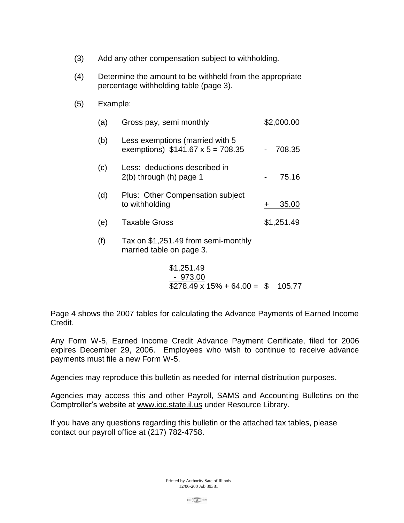- (3) Add any other compensation subject to withholding.
- (4) Determine the amount to be withheld from the appropriate percentage withholding table (page 3).
- (5) Example:

| (a) | Gross pay, semi monthly                                                    | \$2,000.00 |
|-----|----------------------------------------------------------------------------|------------|
| (b) | Less exemptions (married with 5<br>exemptions) $$141.67 \times 5 = 708.35$ | 708.35     |
| (c) | Less: deductions described in<br>$2(b)$ through $(h)$ page 1               | 75.16      |
| (d) | Plus: Other Compensation subject<br>to withholding                         | 35.00      |
| (e) | <b>Taxable Gross</b>                                                       | \$1,251.49 |
| (f) | Tax on \$1,251.49 from semi-monthly<br>married table on page 3.            |            |

$$
\$1,251.49
$$
  
- 973.00  

$$
\$278.49 \times 15\% + 64.00 = \$
$$
 105.77

Page 4 shows the 2007 tables for calculating the Advance Payments of Earned Income Credit.

Any Form W-5, Earned Income Credit Advance Payment Certificate, filed for 2006 expires December 29, 2006. Employees who wish to continue to receive advance payments must file a new Form W-5.

Agencies may reproduce this bulletin as needed for internal distribution purposes.

Agencies may access this and other Payroll, SAMS and Accounting Bulletins on the Comptroller's website at www.ioc.state.il.us under Resource Library.

If you have any questions regarding this bulletin or the attached tax tables, please contact our payroll office at (217) 782-4758.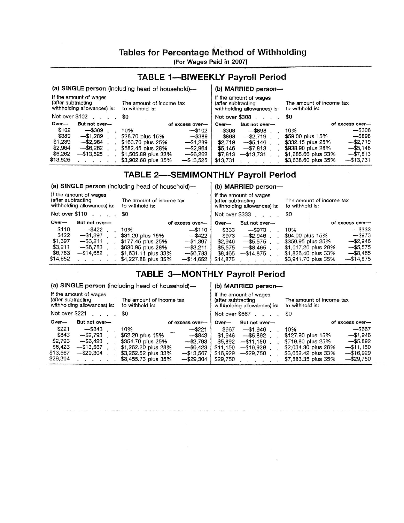## Tables for Percentage Method of Withholding

(For Wages Paid in 2007)

## **TABLE 1-BIWEEKLY Payroll Period**

#### (a) SINGLE person (including head of household)-(b) MARRIED person-If the amount of wages If the amount of wages (after subtracting (after subtracting The amount of income tax The amount of income tax withholding allowances) is: to withhold is: to withhold is: withholding allowances) is: Not over \$308 . . . . Not over \$102 . . . . \$0 \$0 Over-But not overof excess over-Over-But not overof excess over- $-$ \$389. \$102  $-$ \$308 10% -\$102 \$308  $-$ \$898. 10% \$389  $-$1,289$ \$28.70 plus 15%  $-$ \$389 \$898 \$59.00 plus 15%  $-$ \$898  $-$ \$2,719.  $\mathbb{R}^2$  $\ddot{\phantom{a}}$ \$1,289  $-$2,964$  $-1,289$  $-$ \$2,719 \$163.70 plus 25% \$2,719 \$332.15 plus 25%  $-$ \$5,146  $\ddot{\phantom{a}}$  $\ddot{\phantom{1}}$ \$2,964  $-$ \$6,262 \$582.45 plus 28%  $-$ \$2,964  $$5,146$  $-$7,813$ \$938.90 plus 28%  $-$ \$5,146  $\sim$  $\mathbf{r}$  $\ddot{\phantom{a}}$  $\bar{a}$ \$6,262 \$1,505.89 plus 33%  $-13,525$  $-$ \$13,731. \$1,685.66 plus 33%  $-$7,813$  $-$ \$6,262 \$7,813 \$13,525  $-13,731$ \$3,902.68 plus 35%  $-$13,525$ \$13,731 \$3,638.60 plus 35%  $\mathbf{u}$  $\blacksquare$  $\ddot{\phantom{1}}$  $\ddot{\phantom{a}}$  $\mathbf{r}$

## **TABLE 2-SEMIMONTHLY Payroll Period**

(a) SINGLE person (including head of household)-

| If the amount of wages<br>(after subtracting<br>The amount of income tax<br>withholding allowances) is:<br>to withhold is: |                 |                     | If the amount of wages<br>(after subtracting<br>withholding allowances) is: |          | The amount of income tax<br>to withhold is: |                     |                 |
|----------------------------------------------------------------------------------------------------------------------------|-----------------|---------------------|-----------------------------------------------------------------------------|----------|---------------------------------------------|---------------------|-----------------|
|                                                                                                                            | Not over $$110$ | \$0                 |                                                                             |          | Not over \$333                              | 80                  |                 |
| $Over-$                                                                                                                    | But not over-   |                     | of excess over-                                                             | $Over-$  | But not over-                               |                     | of excess over- |
| \$110                                                                                                                      | $-$ \$422       | 10%                 | $-$ \$110                                                                   | \$333    | $-$ \$973                                   | 10%                 | $-$ \$333       |
| \$422                                                                                                                      | $-1,397$        | \$31.20 plus 15%    | $-$ \$422                                                                   | \$973    | $-$ \$2.946                                 | \$64.00 plus 15%    | $-$ \$973       |
| \$1,397                                                                                                                    | $-$ \$3.211     | \$177.45 plus 25%   | $-1,397$                                                                    | \$2.946  | $-$ \$5,575                                 | \$359.95 plus 25%   | $-$ \$2,946     |
| \$3,211                                                                                                                    | $-$ \$6,783     | \$630.95 plus 28%   | $-$ \$3.211                                                                 | \$5,575  | $-$ \$8.465.                                | \$1,017.20 plus 28% | $-$ \$5.575     |
| \$6,783                                                                                                                    | $-$ \$14,652    | \$1,631.11 plus 33% | $-$ \$6,783                                                                 | \$8,465  | $-$ \$14.875                                | \$1,826.40 plus 33% | $-$ \$8.465     |
| \$14,652                                                                                                                   |                 | \$4,227.88 plus 35% | $-$ \$14,652                                                                | \$14,875 |                                             | \$3,941.70 plus 35% | $-514.875$      |

# **TABLE 3-MONTHLY Payroll Period**

(a) SINGLE person (including head of household)-

If the amount of wages (after subtracting withholding allowances) is:

The amount of income tax to withhold is:

If the amount of wages (after subtracting

withholding allowances) is: to withhold is:

(b) MARRIED person-

(b) MARRIED person-

|  | lot over \$667 |  |  | \$0 |
|--|----------------|--|--|-----|
|  |                |  |  |     |

The amount of income tax

| Not over \$221<br>\$0 |               | Not over \$667                      |          | \$0           |                                     |  |
|-----------------------|---------------|-------------------------------------|----------|---------------|-------------------------------------|--|
| Over-                 | But not over- | of excess over-                     | $Over-$  | But not over- | of excess over-                     |  |
| \$221                 | $-$ \$843     | 10%<br>$-$ \$221                    | \$667    | $-51.946$     | $-$ \$667<br>10%                    |  |
| \$843                 | $-$ \$2.793   | \$62.20 plus 15%<br>$-$ \$843       | \$1.946  | $-$ \$5.892   | $-51.946$<br>\$127.90 plus 15%      |  |
| \$2,793               | $-$ \$6,423   | \$354.70 plus 25%<br>$-$ \$2,793    | \$5.892  | $-$ \$11.150  | $-$ \$5.892<br>\$719.80 plus 25%    |  |
| \$6,423               | $-$ \$13.567  | \$1,262.20 plus 28%<br>$-56.423$    | \$11.150 | $-15.929$     | $-511.150$<br>\$2,034.30 plus 28%   |  |
| \$13,567              | $-$ \$29.304  | \$3,262.52 plus 33%<br>$-$ \$13.567 | \$16,929 | $-$ \$29,750  | $-16.929$<br>\$3,652.42 plus 33%    |  |
| \$29,304              |               | \$8,455.73 plus 35%<br>$-$ \$29.304 | \$29,750 |               | $-$ \$29,750<br>\$7,883.35 plus 35% |  |